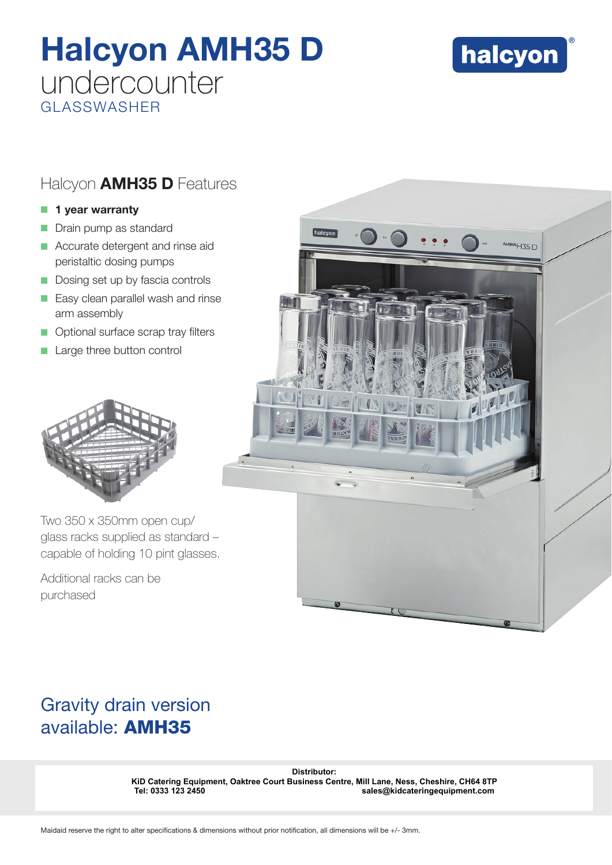## Halcyon AMH35 D undercounter GLASSWASHER



### Halcyon **AMH35 D** Features

#### $\blacksquare$  1 year warranty

- Drain pump as standard
- Accurate detergent and rinse aid peristaltic dosing pumps
- Dosing set up by fascia controls
- $\blacksquare$  Easy clean parallel wash and rinse arm assembly
- **O** Optional surface scrap tray filters
- Large three button control



Two 350 x 350mm open cup/ glass racks supplied as standard – capable of holding 10 pint glasses.

Additional racks can be purchased



### Gravity drain version available: AMH35

Distributor:<br> **KiD Catering Equipment, Oaktree Court Business Centre, Mill Lane, Ness,<br>
Tel: 0333 123 2450<br>
Maidaid reserve the right to alter specifications & dimensions without prior notification, all dimensions will be KiD Catering Equipment, Oaktree Court Business Centre, Mill Lane, Ness, Cheshire, CH64 8TP Tel: 0333 123 2450 sales@kidcateringequipment.com**